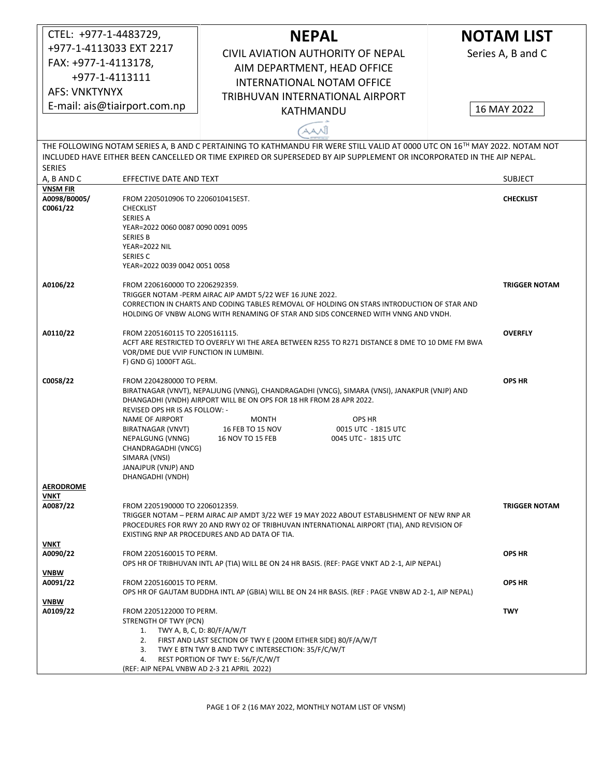| CTEL: +977-1-4483729,                                                                                                                                                                                                                                                |                                                                                                                                                                                          | <b>NEPAL</b>                                                                                    |                                            | <b>NOTAM LIST</b>    |  |  |  |
|----------------------------------------------------------------------------------------------------------------------------------------------------------------------------------------------------------------------------------------------------------------------|------------------------------------------------------------------------------------------------------------------------------------------------------------------------------------------|-------------------------------------------------------------------------------------------------|--------------------------------------------|----------------------|--|--|--|
| +977-1-4113033 EXT 2217                                                                                                                                                                                                                                              |                                                                                                                                                                                          | <b>CIVIL AVIATION AUTHORITY OF NEPAL</b>                                                        |                                            | Series A, B and C    |  |  |  |
| FAX: +977-1-4113178,                                                                                                                                                                                                                                                 |                                                                                                                                                                                          |                                                                                                 |                                            |                      |  |  |  |
| +977-1-4113111                                                                                                                                                                                                                                                       |                                                                                                                                                                                          | AIM DEPARTMENT, HEAD OFFICE<br><b>INTERNATIONAL NOTAM OFFICE</b>                                |                                            |                      |  |  |  |
| <b>AFS: VNKTYNYX</b>                                                                                                                                                                                                                                                 |                                                                                                                                                                                          |                                                                                                 |                                            |                      |  |  |  |
| E-mail: ais@tiairport.com.np                                                                                                                                                                                                                                         |                                                                                                                                                                                          | TRIBHUVAN INTERNATIONAL AIRPORT                                                                 |                                            | 16 MAY 2022          |  |  |  |
|                                                                                                                                                                                                                                                                      |                                                                                                                                                                                          | KATHMANDU                                                                                       |                                            |                      |  |  |  |
|                                                                                                                                                                                                                                                                      |                                                                                                                                                                                          | AANĴ                                                                                            |                                            |                      |  |  |  |
| THE FOLLOWING NOTAM SERIES A, B AND C PERTAINING TO KATHMANDU FIR WERE STILL VALID AT 0000 UTC ON 16TH MAY 2022. NOTAM NOT<br>INCLUDED HAVE EITHER BEEN CANCELLED OR TIME EXPIRED OR SUPERSEDED BY AIP SUPPLEMENT OR INCORPORATED IN THE AIP NEPAL.<br><b>SERIES</b> |                                                                                                                                                                                          |                                                                                                 |                                            |                      |  |  |  |
| A, B AND C                                                                                                                                                                                                                                                           | EFFECTIVE DATE AND TEXT                                                                                                                                                                  |                                                                                                 |                                            | <b>SUBJECT</b>       |  |  |  |
| <b>VNSM FIR</b><br>A0098/B0005/                                                                                                                                                                                                                                      |                                                                                                                                                                                          |                                                                                                 |                                            | <b>CHECKLIST</b>     |  |  |  |
| C0061/22                                                                                                                                                                                                                                                             | FROM 2205010906 TO 2206010415EST.<br><b>CHECKLIST</b>                                                                                                                                    |                                                                                                 |                                            |                      |  |  |  |
|                                                                                                                                                                                                                                                                      | <b>SERIES A</b>                                                                                                                                                                          |                                                                                                 |                                            |                      |  |  |  |
|                                                                                                                                                                                                                                                                      | YEAR=2022 0060 0087 0090 0091 0095<br><b>SERIES B</b>                                                                                                                                    |                                                                                                 |                                            |                      |  |  |  |
|                                                                                                                                                                                                                                                                      | YEAR=2022 NIL                                                                                                                                                                            |                                                                                                 |                                            |                      |  |  |  |
|                                                                                                                                                                                                                                                                      | SERIES C<br>YEAR=2022 0039 0042 0051 0058                                                                                                                                                |                                                                                                 |                                            |                      |  |  |  |
| A0106/22                                                                                                                                                                                                                                                             |                                                                                                                                                                                          |                                                                                                 |                                            | <b>TRIGGER NOTAM</b> |  |  |  |
|                                                                                                                                                                                                                                                                      | FROM 2206160000 TO 2206292359.<br>TRIGGER NOTAM - PERM AIRAC AIP AMDT 5/22 WEF 16 JUNE 2022.                                                                                             |                                                                                                 |                                            |                      |  |  |  |
|                                                                                                                                                                                                                                                                      | CORRECTION IN CHARTS AND CODING TABLES REMOVAL OF HOLDING ON STARS INTRODUCTION OF STAR AND                                                                                              |                                                                                                 |                                            |                      |  |  |  |
|                                                                                                                                                                                                                                                                      |                                                                                                                                                                                          | HOLDING OF VNBW ALONG WITH RENAMING OF STAR AND SIDS CONCERNED WITH VNNG AND VNDH.              |                                            |                      |  |  |  |
| A0110/22                                                                                                                                                                                                                                                             | FROM 2205160115 TO 2205161115.                                                                                                                                                           |                                                                                                 |                                            | <b>OVERFLY</b>       |  |  |  |
|                                                                                                                                                                                                                                                                      | VOR/DME DUE VVIP FUNCTION IN LUMBINI.                                                                                                                                                    | ACFT ARE RESTRICTED TO OVERFLY WI THE AREA BETWEEN R255 TO R271 DISTANCE 8 DME TO 10 DME FM BWA |                                            |                      |  |  |  |
|                                                                                                                                                                                                                                                                      | F) GND G) 1000FT AGL.                                                                                                                                                                    |                                                                                                 |                                            |                      |  |  |  |
| C0058/22                                                                                                                                                                                                                                                             | <b>OPS HR</b><br>FROM 2204280000 TO PERM.                                                                                                                                                |                                                                                                 |                                            |                      |  |  |  |
|                                                                                                                                                                                                                                                                      | BIRATNAGAR (VNVT), NEPALJUNG (VNNG), CHANDRAGADHI (VNCG), SIMARA (VNSI), JANAKPUR (VNJP) AND                                                                                             |                                                                                                 |                                            |                      |  |  |  |
|                                                                                                                                                                                                                                                                      | REVISED OPS HR IS AS FOLLOW: -                                                                                                                                                           | DHANGADHI (VNDH) AIRPORT WILL BE ON OPS FOR 18 HR FROM 28 APR 2022.                             |                                            |                      |  |  |  |
|                                                                                                                                                                                                                                                                      | <b>NAME OF AIRPORT</b>                                                                                                                                                                   | MONTH                                                                                           | <b>OPS HR</b>                              |                      |  |  |  |
|                                                                                                                                                                                                                                                                      | BIRATNAGAR (VNVT)<br>NEPALGUNG (VNNG)                                                                                                                                                    | 16 FEB TO 15 NOV<br>16 NOV TO 15 FEB                                                            | 0015 UTC - 1815 UTC<br>0045 UTC - 1815 UTC |                      |  |  |  |
|                                                                                                                                                                                                                                                                      | CHANDRAGADHI (VNCG)                                                                                                                                                                      |                                                                                                 |                                            |                      |  |  |  |
|                                                                                                                                                                                                                                                                      | SIMARA (VNSI)<br>JANAJPUR (VNJP) AND                                                                                                                                                     |                                                                                                 |                                            |                      |  |  |  |
|                                                                                                                                                                                                                                                                      | DHANGADHI (VNDH)                                                                                                                                                                         |                                                                                                 |                                            |                      |  |  |  |
| <b>AERODROME</b><br>VNKT                                                                                                                                                                                                                                             |                                                                                                                                                                                          |                                                                                                 |                                            |                      |  |  |  |
| A0087/22                                                                                                                                                                                                                                                             | FROM 2205190000 TO 2206012359.                                                                                                                                                           |                                                                                                 |                                            | <b>TRIGGER NOTAM</b> |  |  |  |
|                                                                                                                                                                                                                                                                      | TRIGGER NOTAM - PERM AIRAC AIP AMDT 3/22 WEF 19 MAY 2022 ABOUT ESTABLISHMENT OF NEW RNP AR<br>PROCEDURES FOR RWY 20 AND RWY 02 OF TRIBHUVAN INTERNATIONAL AIRPORT (TIA), AND REVISION OF |                                                                                                 |                                            |                      |  |  |  |
|                                                                                                                                                                                                                                                                      |                                                                                                                                                                                          | EXISTING RNP AR PROCEDURES AND AD DATA OF TIA.                                                  |                                            |                      |  |  |  |
| VNKT<br>A0090/22                                                                                                                                                                                                                                                     | FROM 2205160015 TO PERM.                                                                                                                                                                 |                                                                                                 |                                            | <b>OPS HR</b>        |  |  |  |
|                                                                                                                                                                                                                                                                      | OPS HR OF TRIBHUVAN INTL AP (TIA) WILL BE ON 24 HR BASIS. (REF: PAGE VNKT AD 2-1, AIP NEPAL)                                                                                             |                                                                                                 |                                            |                      |  |  |  |
| VNBW                                                                                                                                                                                                                                                                 |                                                                                                                                                                                          |                                                                                                 |                                            |                      |  |  |  |
| A0091/22                                                                                                                                                                                                                                                             | FROM 2205160015 TO PERM.<br>OPS HR OF GAUTAM BUDDHA INTL AP (GBIA) WILL BE ON 24 HR BASIS. (REF : PAGE VNBW AD 2-1, AIP NEPAL)                                                           | <b>OPS HR</b>                                                                                   |                                            |                      |  |  |  |
| <b>VNBW</b>                                                                                                                                                                                                                                                          |                                                                                                                                                                                          |                                                                                                 |                                            |                      |  |  |  |
| A0109/22                                                                                                                                                                                                                                                             | FROM 2205122000 TO PERM.<br><b>TWY</b><br>STRENGTH OF TWY (PCN)                                                                                                                          |                                                                                                 |                                            |                      |  |  |  |
|                                                                                                                                                                                                                                                                      | 1. TWY A, B, C, D: $80/F/A/W/T$                                                                                                                                                          |                                                                                                 |                                            |                      |  |  |  |
|                                                                                                                                                                                                                                                                      | 2. FIRST AND LAST SECTION OF TWY E (200M EITHER SIDE) 80/F/A/W/T<br>3. TWY E BTN TWY B AND TWY C INTERSECTION: 35/F/C/W/T                                                                |                                                                                                 |                                            |                      |  |  |  |
|                                                                                                                                                                                                                                                                      | REST PORTION OF TWY E: 56/F/C/W/T<br>4.                                                                                                                                                  |                                                                                                 |                                            |                      |  |  |  |
|                                                                                                                                                                                                                                                                      | (REF: AIP NEPAL VNBW AD 2-3 21 APRIL 2022)                                                                                                                                               |                                                                                                 |                                            |                      |  |  |  |